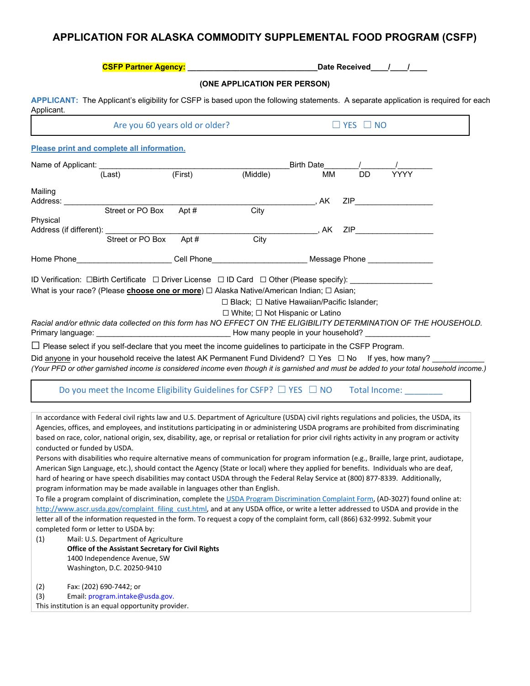## **APPLICATION FOR ALASKA COMMODITY SUPPLEMENTAL FOOD PROGRAM (CSFP)**

|                              |                                                                                                                                                                                                                                                                                     |                                |                                                        |            |                      | Date Received / /                                                                                                                                                                                                              |  |
|------------------------------|-------------------------------------------------------------------------------------------------------------------------------------------------------------------------------------------------------------------------------------------------------------------------------------|--------------------------------|--------------------------------------------------------|------------|----------------------|--------------------------------------------------------------------------------------------------------------------------------------------------------------------------------------------------------------------------------|--|
|                              |                                                                                                                                                                                                                                                                                     |                                | (ONE APPLICATION PER PERSON)                           |            |                      |                                                                                                                                                                                                                                |  |
| Applicant.                   | APPLICANT: The Applicant's eligibility for CSFP is based upon the following statements. A separate application is required for each                                                                                                                                                 |                                |                                                        |            |                      |                                                                                                                                                                                                                                |  |
|                              |                                                                                                                                                                                                                                                                                     | Are you 60 years old or older? |                                                        |            | $\Box$ YES $\Box$ NO |                                                                                                                                                                                                                                |  |
|                              | Please print and complete all information.                                                                                                                                                                                                                                          |                                |                                                        |            |                      |                                                                                                                                                                                                                                |  |
| Name of Applicant: _______   |                                                                                                                                                                                                                                                                                     |                                |                                                        | Birth Date |                      |                                                                                                                                                                                                                                |  |
|                              | (Last)                                                                                                                                                                                                                                                                              | (First)                        | (Middle)                                               | MМ         | <b>DD</b>            | <b>YYYY</b>                                                                                                                                                                                                                    |  |
| Mailing                      |                                                                                                                                                                                                                                                                                     |                                |                                                        |            |                      |                                                                                                                                                                                                                                |  |
| Address: __                  | Street or PO Box                                                                                                                                                                                                                                                                    |                                |                                                        | , AK       |                      | ZIP and the contract of the contract of the contract of the contract of the contract of the contract of the contract of the contract of the contract of the contract of the contract of the contract of the contract of the co |  |
| Physical                     |                                                                                                                                                                                                                                                                                     | Apt#                           | City                                                   |            |                      |                                                                                                                                                                                                                                |  |
|                              | Address (if different): _____________                                                                                                                                                                                                                                               |                                |                                                        |            |                      |                                                                                                                                                                                                                                |  |
|                              | Street or PO Box                                                                                                                                                                                                                                                                    | Apt#                           | City                                                   |            |                      |                                                                                                                                                                                                                                |  |
|                              | Home Phone__________________________Cell Phone________________________Message Phone _______________                                                                                                                                                                                 |                                |                                                        |            |                      |                                                                                                                                                                                                                                |  |
|                              |                                                                                                                                                                                                                                                                                     |                                |                                                        |            |                      |                                                                                                                                                                                                                                |  |
|                              | ID Verification: □Birth Certificate □ Driver License □ ID Card □ Other (Please specify): _________<br>What is your race? (Please <b><u>choose one or more)</u> ⊡ Alaska Native/American Indian</b> ; □ Asian;                                                                       |                                |                                                        |            |                      |                                                                                                                                                                                                                                |  |
|                              |                                                                                                                                                                                                                                                                                     |                                | $\Box$ Black; $\Box$ Native Hawaiian/Pacific Islander; |            |                      |                                                                                                                                                                                                                                |  |
|                              |                                                                                                                                                                                                                                                                                     |                                | □ White; □ Not Hispanic or Latino                      |            |                      |                                                                                                                                                                                                                                |  |
|                              | Racial and/or ethnic data collected on this form has NO EFFECT ON THE ELIGIBILITY DETERMINATION OF THE HOUSEHOLD.                                                                                                                                                                   |                                |                                                        |            |                      |                                                                                                                                                                                                                                |  |
|                              |                                                                                                                                                                                                                                                                                     |                                |                                                        |            |                      |                                                                                                                                                                                                                                |  |
|                              | $\Box$ Please select if you self-declare that you meet the income guidelines to participate in the CSFP Program.                                                                                                                                                                    |                                |                                                        |            |                      |                                                                                                                                                                                                                                |  |
|                              | Did <u>anyone</u> in your household receive the latest AK Permanent Fund Dividend? $\Box$ Yes $\Box$ No If yes, how many?                                                                                                                                                           |                                |                                                        |            |                      |                                                                                                                                                                                                                                |  |
|                              | (Your PFD or other garnished income is considered income even though it is garnished and must be added to your total household income.)                                                                                                                                             |                                |                                                        |            |                      |                                                                                                                                                                                                                                |  |
|                              | Do you meet the Income Eligibility Guidelines for CSFP? $\square$ YES $\square$ NO Total Income:                                                                                                                                                                                    |                                |                                                        |            |                      |                                                                                                                                                                                                                                |  |
|                              |                                                                                                                                                                                                                                                                                     |                                |                                                        |            |                      |                                                                                                                                                                                                                                |  |
|                              | In accordance with Federal civil rights law and U.S. Department of Agriculture (USDA) civil rights regulations and policies, the USDA, its<br>Agencies, offices, and employees, and institutions participating in or administering USDA programs are prohibited from discriminating |                                |                                                        |            |                      |                                                                                                                                                                                                                                |  |
|                              | based on race, color, national origin, sex, disability, age, or reprisal or retaliation for prior civil rights activity in any program or activity                                                                                                                                  |                                |                                                        |            |                      |                                                                                                                                                                                                                                |  |
| conducted or funded by USDA. |                                                                                                                                                                                                                                                                                     |                                |                                                        |            |                      |                                                                                                                                                                                                                                |  |
|                              | Persons with disabilities who require alternative means of communication for program information (e.g., Braille, large print, audiotape,<br>American Sign Language, etc.), should contact the Agency (State or local) where they applied for benefits. Individuals who are deaf,    |                                |                                                        |            |                      |                                                                                                                                                                                                                                |  |
|                              | hard of hearing or have speech disabilities may contact USDA through the Federal Relay Service at (800) 877-8339. Additionally,                                                                                                                                                     |                                |                                                        |            |                      |                                                                                                                                                                                                                                |  |
|                              | program information may be made available in languages other than English.                                                                                                                                                                                                          |                                |                                                        |            |                      |                                                                                                                                                                                                                                |  |
|                              | To file a program complaint of discrimination, complete the USDA Program Discrimination Complaint Form, (AD-3027) found online at:                                                                                                                                                  |                                |                                                        |            |                      |                                                                                                                                                                                                                                |  |
|                              | http://www.ascr.usda.gov/complaint filing cust.html, and at any USDA office, or write a letter addressed to USDA and provide in the                                                                                                                                                 |                                |                                                        |            |                      |                                                                                                                                                                                                                                |  |
|                              | letter all of the information requested in the form. To request a copy of the complaint form, call (866) 632-9992. Submit your                                                                                                                                                      |                                |                                                        |            |                      |                                                                                                                                                                                                                                |  |
|                              | completed form or letter to USDA by:                                                                                                                                                                                                                                                |                                |                                                        |            |                      |                                                                                                                                                                                                                                |  |
| (1)                          | Mail: U.S. Department of Agriculture                                                                                                                                                                                                                                                |                                |                                                        |            |                      |                                                                                                                                                                                                                                |  |
|                              | Office of the Assistant Secretary for Civil Rights                                                                                                                                                                                                                                  |                                |                                                        |            |                      |                                                                                                                                                                                                                                |  |
|                              | 1400 Independence Avenue, SW<br>Washington, D.C. 20250-9410                                                                                                                                                                                                                         |                                |                                                        |            |                      |                                                                                                                                                                                                                                |  |
|                              | Fax: (202) 690-7442; or                                                                                                                                                                                                                                                             |                                |                                                        |            |                      |                                                                                                                                                                                                                                |  |
| (2)<br>(3)                   | Email: program.intake@usda.gov.                                                                                                                                                                                                                                                     |                                |                                                        |            |                      |                                                                                                                                                                                                                                |  |
|                              | This institution is an equal opportunity provider.                                                                                                                                                                                                                                  |                                |                                                        |            |                      |                                                                                                                                                                                                                                |  |